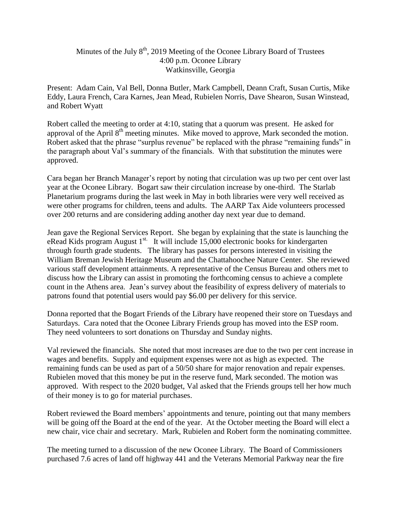## Minutes of the July  $8<sup>th</sup>$ , 2019 Meeting of the Oconee Library Board of Trustees 4:00 p.m. Oconee Library Watkinsville, Georgia

Present: Adam Cain, Val Bell, Donna Butler, Mark Campbell, Deann Craft, Susan Curtis, Mike Eddy, Laura French, Cara Karnes, Jean Mead, Rubielen Norris, Dave Shearon, Susan Winstead, and Robert Wyatt

Robert called the meeting to order at 4:10, stating that a quorum was present. He asked for approval of the April 8<sup>th</sup> meeting minutes. Mike moved to approve, Mark seconded the motion. Robert asked that the phrase "surplus revenue" be replaced with the phrase "remaining funds" in the paragraph about Val's summary of the financials. With that substitution the minutes were approved.

Cara began her Branch Manager's report by noting that circulation was up two per cent over last year at the Oconee Library. Bogart saw their circulation increase by one-third. The Starlab Planetarium programs during the last week in May in both libraries were very well received as were other programs for children, teens and adults. The AARP Tax Aide volunteers processed over 200 returns and are considering adding another day next year due to demand.

Jean gave the Regional Services Report. She began by explaining that the state is launching the eRead Kids program August  $1<sup>st.</sup>$  It will include 15,000 electronic books for kindergarten through fourth grade students. The library has passes for persons interested in visiting the William Breman Jewish Heritage Museum and the Chattahoochee Nature Center. She reviewed various staff development attainments. A representative of the Census Bureau and others met to discuss how the Library can assist in promoting the forthcoming census to achieve a complete count in the Athens area. Jean's survey about the feasibility of express delivery of materials to patrons found that potential users would pay \$6.00 per delivery for this service.

Donna reported that the Bogart Friends of the Library have reopened their store on Tuesdays and Saturdays. Cara noted that the Oconee Library Friends group has moved into the ESP room. They need volunteers to sort donations on Thursday and Sunday nights.

Val reviewed the financials. She noted that most increases are due to the two per cent increase in wages and benefits. Supply and equipment expenses were not as high as expected. The remaining funds can be used as part of a 50/50 share for major renovation and repair expenses. Rubielen moved that this money be put in the reserve fund, Mark seconded. The motion was approved. With respect to the 2020 budget, Val asked that the Friends groups tell her how much of their money is to go for material purchases.

Robert reviewed the Board members' appointments and tenure, pointing out that many members will be going off the Board at the end of the year. At the October meeting the Board will elect a new chair, vice chair and secretary. Mark, Rubielen and Robert form the nominating committee.

The meeting turned to a discussion of the new Oconee Library. The Board of Commissioners purchased 7.6 acres of land off highway 441 and the Veterans Memorial Parkway near the fire